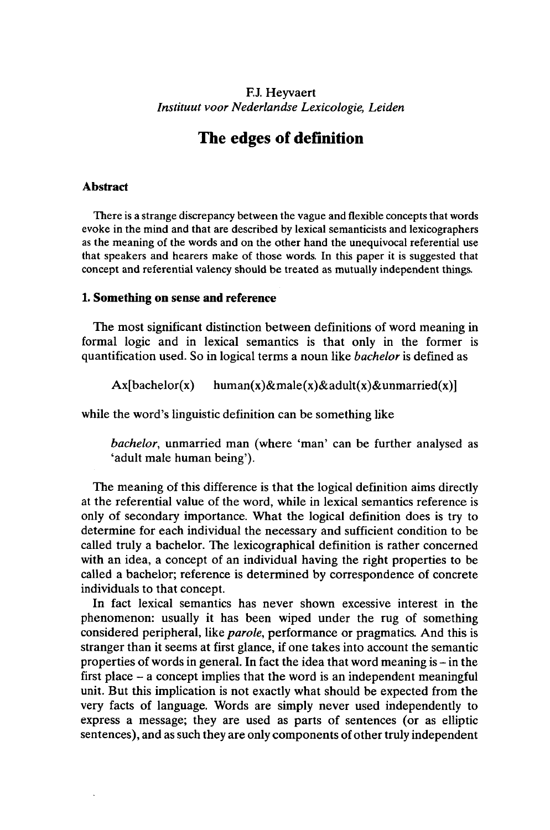# F.J. Heyvaert *Instituut voor Nederlandse Lexicologie, Leiden*

# **The edges of definition**

# **Abstract**

There is a strange discrepancy between the vague and flexible concepts that words evoke in the mind and that are described by lexical semanticists and lexicographers as the meaning of the words and on the other hand the unequivocal referential use that speakers and hearers make of those words. In this paper it is suggested that concept and referential valency should be treated as mutually independent things.

# **1. Something on sense and reference**

The most significant distinction between definitions of word meaning in formal logic and in lexical semantics is that only in the former is quantification used. So in logical terms a noun like *bachelor* is defined as

 $Ax[backlor(x)$  human(x)&male(x)&adult(x)&unmarried(x)]

while the word's linguistic definition can be something like

*bachelor,* unmarried man (where 'man' can be further analysed as 'adult male human being').

The meaning of this difference is that the logical definition aims directly at the referential value of the word, while in lexical semantics reference is only of secondary importance. What the logical definition does is try to determine for each individual the necessary and sufficient condition to be called truly a bachelor. The lexicographical definition is rather concerned with an idea, a concept of an individual having the right properties to be called a bachelor; reference is determined by correspondence of concrete individuals to that concept.

In fact lexical semantics has never shown excessive interest in the phenomenon: usually it has been wiped under the rug of something considered peripheral, like *parole,* performance or pragmatics. And this is stranger than it seems at first glance, if one takes into account the semantic properties of words in general. In fact the idea that word meaning is  $-\text{in}$  the first place  $-$  a concept implies that the word is an independent meaningful unit. But this implication is not exactly what should be expected from the very facts of language. Words are simply never used independently to express a message; they are used as parts of sentences (or as elliptic sentences), and as such they are only components of other truly independent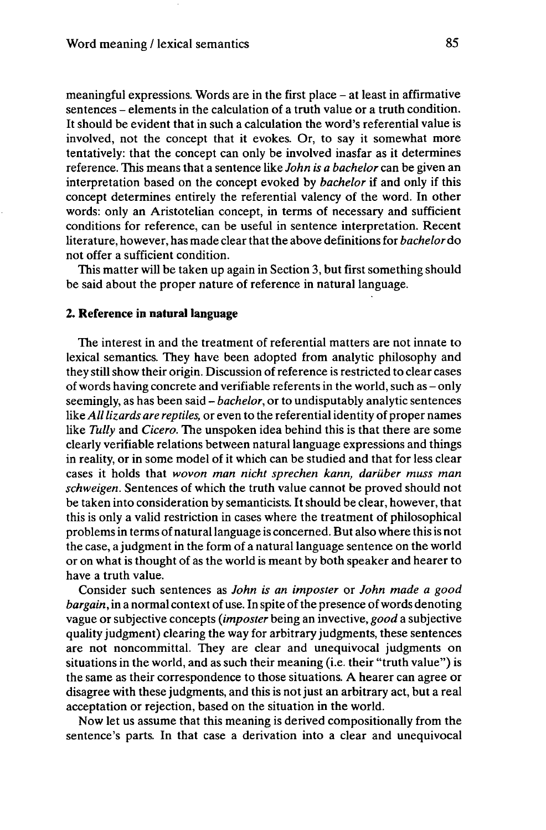meaningful expressions. Words are in the first place – at least in affirmative sentences – elements in the calculation of a truth value or a truth condition. It should be evident that in such a calculation the word's referential value is involved, not the concept that it evokes. Or, to say it somewhat more tentatively: that the concept can only be involved inasfar as it determines reference. This means that a sentence like *John is a bachelor* can be given an interpretation based on the concept evoked by *bachelor* if and only if this concept determines entirely the referential valency of the word. In other words: only an Aristotelian concept, in terms of necessary and sufficient conditions for reference, can be useful in sentence interpretation. Recent literature, however, has made clear that the above definitions for *bachelor* do not offer a sufficient condition.

This matter will be taken up again in Section 3, but first something should be said about the proper nature of reference in natural language.

### **2. Reference in natural language**

The interest in and the treatment of referential matters are not innate to lexical semantics. They have been adopted from analytic philosophy and they still show their origin. Discussion of reference is restricted to clear cases ofwords having concrete and verifiable referents in the world, such as - only seemingly, as has been said - *bachelor,* or to undisputably analytic sentences like *Alllizards are reptiles,* or even to the referentialidentity of proper names like *Tully* and *Cicero.* The unspoken idea behind this is that there are some clearly verifiable relations between natural language expressions and things in reality, or in some model of it which can be studied and that for less clear cases it holds that *wovon man nicht sprechen kann, darüber muss man schweigen.* Sentences of which the truth value cannot be proved should not be taken into consideration by semanticists. It should be clear, however, that this is only a valid restriction in cases where the treatment of philosophical problemsin terms of naturallanguage is concerned. But also where thisis not the case, a judgment in the form of a natural language sentence on the world or on what is thought of as the world is meant by both speaker and hearer to have a truth value.

Consider such sentences as *John is an imposter* or *John made a good bargain,* in a normal context of use. In spite of the presence of words denoting vague or subjective concepts *(imposter* being an invective, *good* a subjective quality judgment) clearing the way for arbitrary judgments, these sentences are not noncommittal. They are clear and unequivocal judgments on situations in the world, and as such their meaning (i.e. their "truth value") is the same as their correspondence to those situations. A hearer can agree or disagree with these judgments, and this is not just an arbitrary act, but a real acceptation or rejection, based on the situation in the world.

Now let us assume that this meaning is derived compositionally from the sentence's parts. In that case a derivation into a clear and unequivocal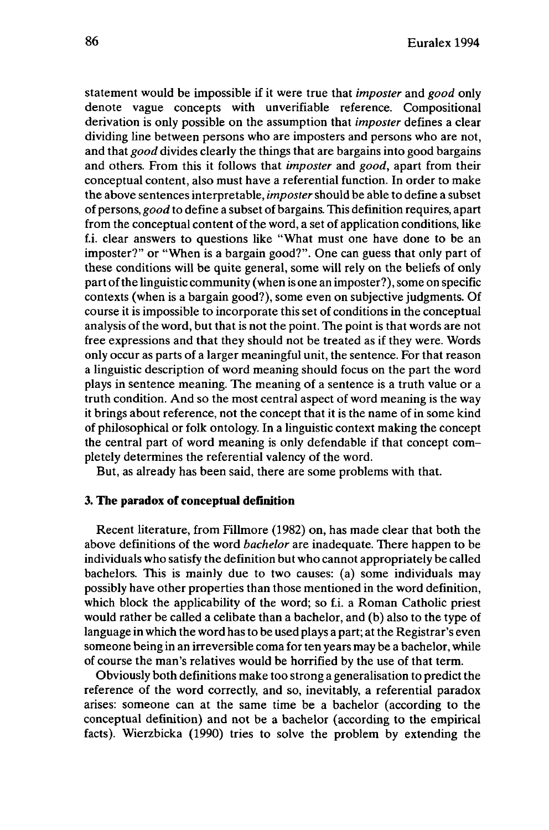statement would be impossible if it were true that *imposter* and *good* only denote vague concepts with unverifiable reference. Compositional derivation is only possible on the assumption that *imposter* defines a clear dividing line between persons who are imposters and persons who are not, and that *good* divides clearly the things that are bargains into good bargains and others. From this it follows that *imposter* and *good,* apart from their conceptual content, also must have a referential function. In order to make the above sentences interprétable, *imposter*should be able to define a subset of persons, *good* to define a subset of bargains. This definition requires, apart from the conceptual content of the word, a set of application conditions, like f.i. clear answers to questions like "What must one have done to be an imposter?" or "When is a bargain good?". One can guess that only part of these conditions will be quite general, some will rely on the beliefs of only part of the linguistic community (when is one an imposter?), some on specific contexts (when is a bargain good?), some even on subjective judgments. Of course it is impossible to incorporate this set of conditions in the conceptual analysis of the word, but that is not the point. The point is that words are not free expressions and that they should not be treated as if they were. Words only occur as parts of a larger meaningful unit, the sentence. For that reason a linguistic description of word meaning should focus on the part the word plays in sentence meaning. The meaning of a sentence is a truth value or a truth condition. And so the most central aspect of word meaning is the way it brings about reference, not the concept that it is the name of in some kind of philosophical or folk ontology. In a linguistic context making the concept the central part of word meaning is only défendable if that concept completely determines the referential valency of the word.

But, as already has been said, there are some problems with that.

# **3. The paradox of conceptual definition**

Recent literature, from Fillmore (1982) on, has made clear that both the above definitions of the word *bachelor* are inadequate. There happen to be individuals who satisfy the definition but who cannot appropriately be called bachelors. This is mainly due to two causes: (a) some individuals may possibly have other properties than those mentioned in the word definition, which block the applicability of the word; so f.i. a Roman Catholic priest would rather be called a celibate than a bachelor, and (b) also to the type of language in which the word has to be used plays a part; at the Registrar's even someone being in an irreversible coma for ten years may be a bachelor, while of course the man's relatives would be horrified by the use of that term.

Obviously both definitions make too strong a generalisation to predict the reference of the word correctly, and so, inevitably, a referential paradox arises: someone can at the same time be a bachelor (according to the conceptual definition) and not be a bachelor (according to the empirical facts). Wierzbicka (1990) tries to solve the problem by extending the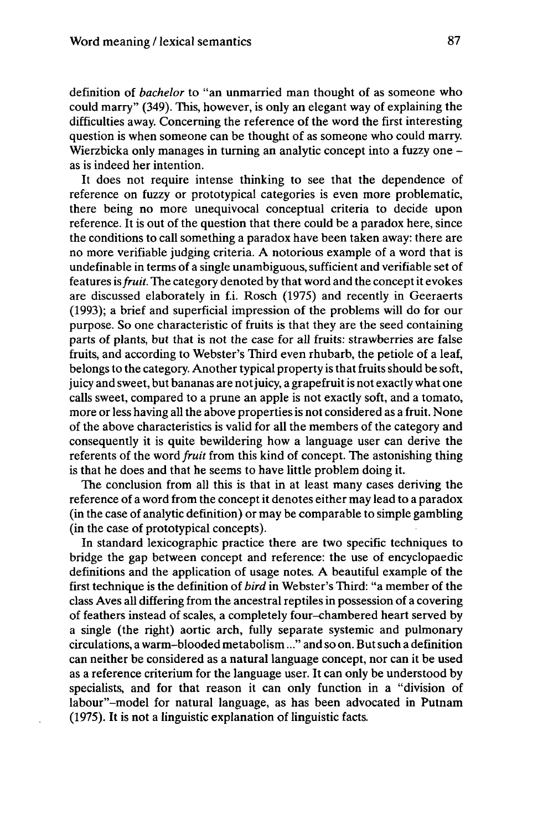definition of *bachelor* to "an unmarried man thought of as someone who could marry" (349). This, however, is only an elegant way of explaining the difficulties away. Concerning the reference of the word the first interesting question is when someone can be thought of as someone who could marry. Wierzbicka only manages in turning an analytic concept into a fuzzy one – as is indeed her intention.

It does not require intense thinking to see that the dependence of reference on fuzzy or prototypical categories is even more problematic, there being no more unequivocal conceptual criteria to decide upon reference. It is out of the question that there could be a paradox here, since the conditions to call something a paradox have been taken away: there are no more verifiable judging criteria. A notorious example of a word that is undefinable in terms of a single unambiguous, sufficient and verifiable set of features *isfruit.* The category denoted by that word and the conceptit evokes are discussed elaborately in f.i. Rosch (1975) and recently in Geeraerts (1993); a brief and superficial impression of the problems will do for our purpose. So one characteristic of fruits is that they are the seed containing parts of plants, but that is not the case for all fruits: strawberries are false fruits, and according to Webster's Third even rhubarb, the petiole of a leaf, belongs to the category. Another typical property is that fruits should be soft, juicy and sweet, but bananas are not juicy, a grapefruit is not exactly what one calls sweet, compared to a prune an apple is not exactly soft, and a tomato, more or less having all the above properties is not considered as a fruit. None of the above characteristics is valid for all the members of the category and consequently it is quite bewildering how a language user can derive the referents of the word *fruit* from this kind of concept. The astonishing thing is that he does and that he seems to have little problem doing it.

The conclusion from all this is that in at least many cases deriving the reference of a word from the conceptit denotes either may lead to a paradox (in the case of analytic definition) or may be comparable to simple gambling (in the case of prototypical concepts).

In standard lexicographic practice there are two specific techniques to bridge the gap between concept and reference: the use of encyclopaedic definitions and the application of usage notes. A beautiful example of the first technique is the definition of *bird* in Webster's Third: "a member of the class Aves all differing from the ancestral reptilesin possession of a covering of feathers instead of scales, a completely four-chambered heart served by a single (the right) aortic arch, fully separate systemic and pulmonary circulations, a warm-blooded metabolism..." and so on. Butsuch a definition can neither be considered as a natural language concept, nor can it be used as a reference criterium for the language user. It can only be understood by specialists, and for that reason it can only function in a "division of labour"-model for natural language, as has been advocated in Putnam (1975). It is not a linguistic explanation of linguistic facts.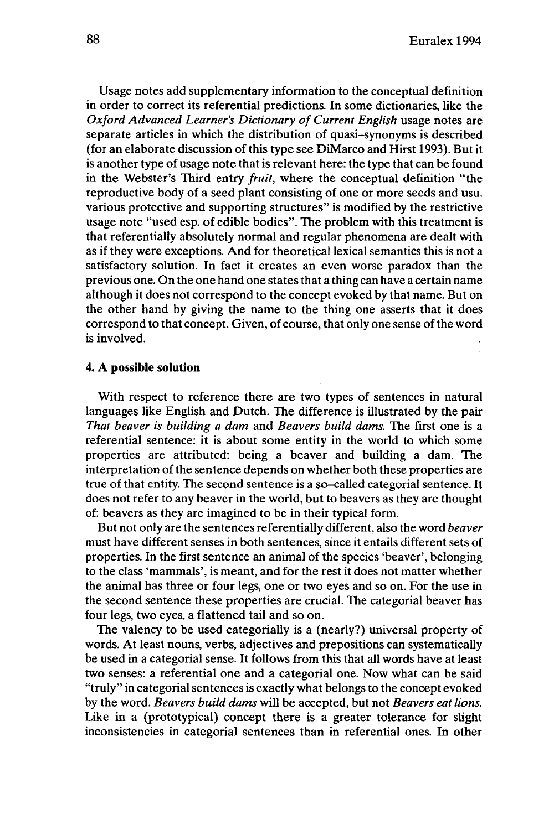Usage notes add supplementary information to the conceptual definition in order to correct its referential predictions. In some dictionaries, like the *Oxford Advanced Learner's Dictionary of Current English usage notes are* separate articles in which the distribution of quasi-synonyms is described (for an elaborate discussion of this type see DiMarco and Hirst 1993). But it is another type of usage note that is relevant here: the type that can be found in the Webster's Third entry *fruit,* where the conceptual definition "the reproductive body of a seed plant consisting of one or more seeds and usu. various protective and supporting structures" is modified by the restrictive usage note "used esp. of edible bodies". The problem with this treatment is that referentially absolutely normal and regular phenomena are dealt with as if they were exceptions. And for theoretical lexical semantics this is not a satisfactory solution. In fact it creates an even worse paradox than the previous one. On the one hand one statesthat a thing can have a certain name although it does not correspond to the concept evoked by that name. But on the other hand by giving the name to the thing one asserts that it does correspond to that concept. Given, of course, that only one sense of the word is involved.

### **4. A possible solution**

With respect to reference there are two types of sentences in natural languages like English and Dutch. The difference is illustrated by the pair *That beaver is building a dam* and *Beavers build dams.* The first one is a referential sentence: it is about some entity in the world to which some properties are attributed: being a beaver and building a dam. The interpretation of the sentence depends on whether both these properties are true of that entity. The second sentence is a so-called categorial sentence. It does not refer to any beaver in the world, but to beavers as they are thought of: beavers as they are imagined to be in their typical form.

But not only are the sentences referentially different, also the word *beaver* must have different senses in both sentences, since it entails different sets of properties. In the first sentence an animal of the species 'beaver', belonging to the class 'mammals', is meant, and for the rest it does not matter whether the animal has three or four legs, one or two eyes and so on. For the use in the second sentence these properties are crucial. The categorial beaver has four legs, two eyes, a flattened tail and so on.

The valency to be used categorially is a (nearly?) universal property of words. At least nouns, verbs, adjectives and prepositions can systematically be used in a categorial sense. It follows from this that all words have at least two senses: a referential one and a categorial one. Now what can be said "truly" in categorial sentences is exactly what belongs to the concept evoked by the word. *Beavers build dams* will be accepted, but not *Beavers eat lions.* Like in a (prototypical) concept there is a greater tolerance for slight inconsistencies in categorial sentences than in referential ones. In other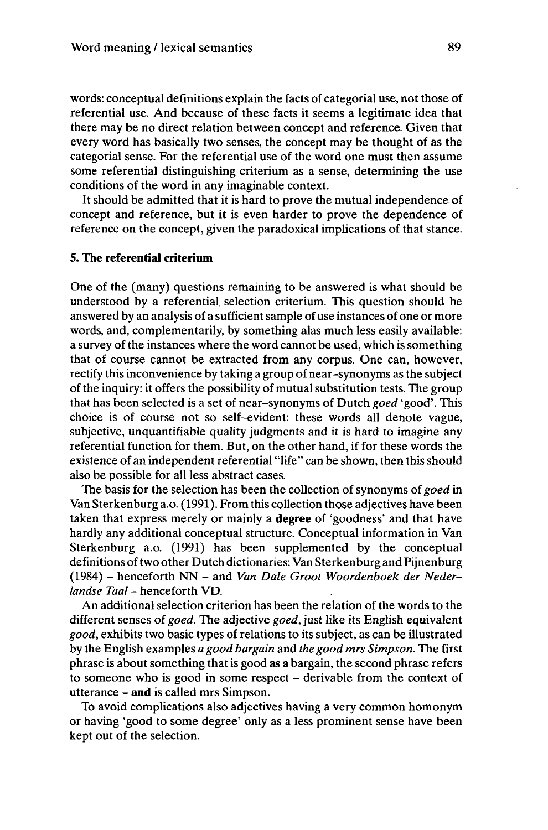words: conceptual definitions explain the facts of categorial use, not those of referential use. And because of these facts it seems a legitimate idea that there may be no direct relation between concept and reference. Given that every word has basically two senses, the concept may be thought of as the categorial sense. For the referential use of the word one must then assume some referential distinguishing criterium as a sense, determining the use conditions of the word in any imaginable context.

It should be admitted that it is hard to prove the mutual independence of concept and reference, but it is even harder to prove the dependence of reference on the concept, given the paradoxical implications of that stance.

# **5. The referential critérium**

One of the (many) questions remaining to be answered is what should be understood by a referential selection criterium. This question should be answered by an analysis of a sufficientsample of use instances of one or more words, and, complementarily, by something alas much less easily available: a survey of the instances where the word cannot be used, which is something that of course cannot be extracted from any corpus. One can, however, rectify this inconvenience by taking a group of near-synonyms as the subject of the inquiry: it offers the possibility of mutual substitution tests. The group that has been selected is a set of near-synonyms of Dutch *goed* 'good'. This choice is of course not so self-evident: these words all denote vague, subjective, unquantifiable quality judgments and it is hard to imagine any referential function for them. But, on the other hand, if for these words the existence of an independent referential "life" can be shown, then this should also be possible for all less abstract cases.

The basis for the selection has been the collection of synonyms of goed in Van Sterkenburg a.o. (1991). From this collection those adjectives have been taken that express merely or mainly a **degree** of 'goodness' and that have hardly any additional conceptual structure. Conceptual information in Van Sterkenburg a.o. (1991) has been supplemented by the conceptual definitions of two other Dutch dictionaries: Van Sterkenburg and Pijnenburg (1984) - henceforth NN - and *Van Dale Groot Woordenboek der Nederlandse Taal* - henceforth VD.

An additional selection criterion has been the relation of the words to the different senses of *goed.* The adjective *goed,* just like its English equivalent *good,* exhibits two basic types of relations to its subject, as can be illustrated by the English examples *a good bargain* and *the good mrs Simpson.* The first phrase is about something thatis good as **a** bargain, the second phrase refers to someone who is good in some respect - derivable from the context of utterance - **and** is called mrs Simpson.

To avoid complications also adjectives having a very common homonym or having 'good to some degree' only as a less prominent sense have been kept out of the selection.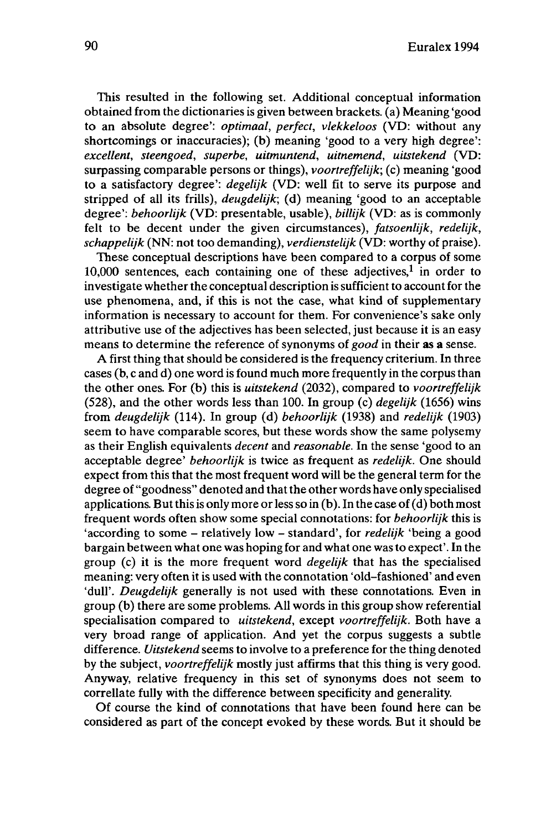This resulted in the following set. Additional conceptual information obtained from the dictionaries is given between brackets, (a) Meaning 'good to an absolute degree': *optimaal, perfect, vlekkeloos* (VD: without any shortcomings or inaccuracies); (b) meaning 'good to a very high degree': *excellent, steengoed, superbe, uitmuntend, uitnemend, uitstekend* (VD: surpassing comparable persons or things), *voortreffelijk;* (c) meaning 'good to a satisfactory degree': *degelijk* (VD: well fit to serve its purpose and stripped of all its frills), *deugdelijk;* (d) meaning 'good to an acceptable degree': *behoorlijk* (VD: presentable, usable), *billijk* (VD: as is commonly felt to be decent under the given circumstances), *fatsoenlijk, redelijk, schappelijk* (NN: not too demanding), *verdienstelijk* (VD: worthy of praise).

These conceptual descriptions have been compared to a corpus of some  $10,000$  sentences, each containing one of these adjectives,<sup>1</sup> in order to investigate whether the conceptual description is sufficient to account for the use phenomena, and, if this is not the case, what kind of supplementary information is necessary to account for them. For convenience's sake only attributive use of the adjectives has been selected, just because it is an easy means to determine the reference of synonyms of *good* in their as a sense.

A first thing that should be considered is the frequency criterium. In three cases (b, c and d) one word is found much more frequently in the corpusthan the other ones. For (b) this is *uitstekend* (2032), compared to *voortreffelijk* (528), and the other words less than 100. In group (c) *degelijk* (1656) wins from *deugdelijk* (114). In group (d) *behoorlijk* (1938) and *redelijk* (1903) seem to have comparable scores, but these words show the same polysemy as their English equivalents *decent* and *reasonable.* In the sense 'good to an acceptable degree' *behoorlijk* is twice as frequent as *redelijk.* One should expect from this that the most frequent word will be the general term for the degree of "goodness" denoted and that the other words have only specialised applications. But this is only more or less so in  $(b)$ . In the case of  $(d)$  both most frequent words often show some special connotations: for *behoorlijk* this is 'according to some - relatively low - standard', for *redelijk* 'being <sup>a</sup> good bargain between what one was hoping for and what one wasto expect'. In the group (c) it is the more frequent word *degelijk* that has the specialised meaning: very often it is used with the connotation 'old-fashioned' and even 'dull'. *Deugdelijk* generally is not used with these connotations. Even in group (b) there are some problems. All words in this group show referential specialisation compared to *uitstekend,* except *voortreffelijk.* Both have a very broad range of application. And yet the corpus suggests a subtle difference. *Uitstekend* seems to involve to a preference for the thing denoted by the subject, *voortreffelijk* mostly just affirms that this thing is very good. Anyway, relative frequency in this set of synonyms does not seem to correllate fully with the difference between specificity and generality.

Of course the kind of connotations that have been found here can be considered as part of the concept evoked by these words. But it should be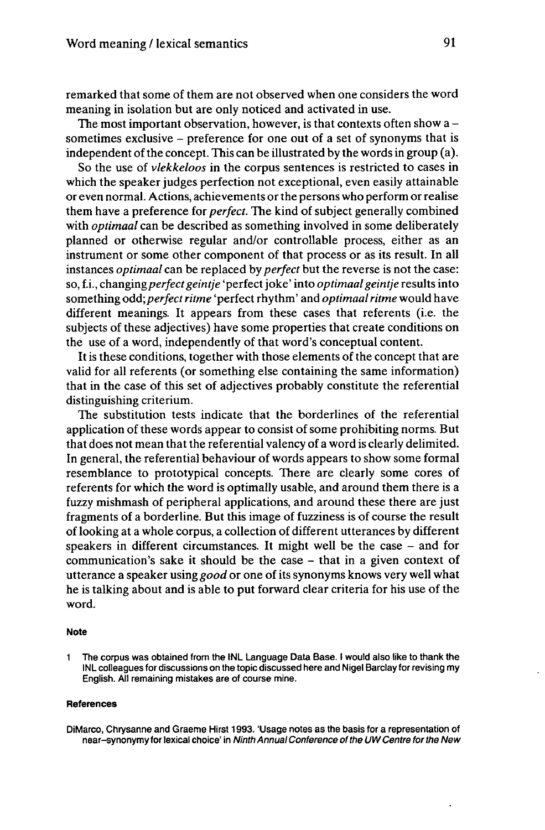remarked that some of them are not observed when one considers the word meaning in isolation but are only noticed and activated in use.

The most important observation, however, is that contexts often show  $a$ sometimes exclusive - preference for one out of <sup>a</sup> set of synonyms that is independent of the concept. This can be illustrated by the words in group  $(a)$ .

So the use of *vlekkeloos* in the corpus sentences is restricted to cases in which the speaker judges perfection not exceptional, even easily attainable or even normal. Actions, achievements orthe persons who perform orrealise them have a preference for *perfect.* The kind of subject generally combined with *optimaal* can be described as something involved in some deliberately planned or otherwise regular and/or controllable process, either as an instrument or some other component of that process or as its result. In all instances *optimaal* can be replaced by *perfect* but the reverse is not the case: so, f.i., *changing perfect geintje* 'perfect joke' into *optimaal geintje* results into something *odd; perfect ritme* 'perfect rhythm' and *optimaal ritme* would have different meanings. It appears from these cases that referents (i.e. the subjects of these adjectives) have some properties that create conditions on the use of a word, independently of that word's conceptual content.

It is these conditions, together with those elements of the concept that are valid for all referents (or something else containing the same information) that in the case of this set of adjectives probably constitute the referential distinguishing criterium.

The substitution tests indicate that the borderlines of the referential application of these words appear to consist of some prohibiting norms. But that does not mean that the referential valency of a word is clearly delimited. In general, the referential behaviour of words appears to show some formal resemblance to prototypical concepts. There are clearly some cores of referents for which the word is optimally usable, and around them there is a fuzzy mishmash of peripheral applications, and around these there are just fragments of a borderline. But this image of fuzziness is of course the result of looking at a whole corpus, a collection of different utterances by different speakers in different circumstances. It might well be the case - and for communication's sake it should be the case – that in a given context of utterance a speaker using *good* or one of its synonyms knows very well what he is talking about and is able to put forward clear criteria for his use of the word.

#### **Note**

<sup>1</sup> The corpus was obtained from the INL Language Data Base. <sup>I</sup> would also like to thank the INL colleagues for discussions on the topic discussed here and Nigel Barclay for revising my English. All remaining mistakes are of course mine.

#### **References**

DiMarco, Chrysanne and Graeme Hirst 1993. 'Usage notes as the basis for a representation of near-synonymy for lexical choice' in Ninth Annual Conference of the UW Centre for the New